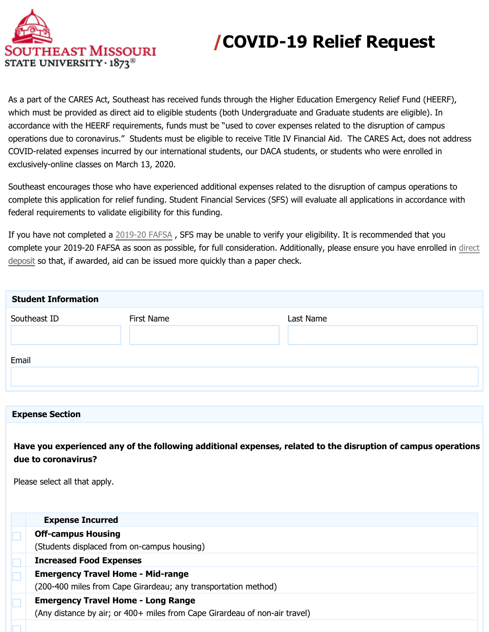

## **/COVID-19 Relief Request**

As a part of the CARES Act, Southeast has received funds through the Higher Education Emergency Relief Fund (HEERF), which must be provided as direct aid to eligible students (both Undergraduate and Graduate students are eligible). In accordance with the HEERF requirements, funds must be "used to cover expenses related to the disruption of campus operations due to coronavirus." Students must be eligible to receive Title IV Financial Aid. The CARES Act, does not address COVID-related expenses incurred by our international students, our DACA students, or students who were enrolled in exclusively-online classes on March 13, 2020.

Southeast encourages those who have experienced additional expenses related to the disruption of campus operations to complete this application for relief funding. Student Financial Services (SFS) will evaluate all applications in accordance with federal requirements to validate eligibility for this funding.

If you have not completed a 2019-20 FAFSA , SFS may be unable to verify your eligibility. It is recommended that you complete your 2019-20 FAFSA as soon as possible, for full consideration. Additionally, please ensure you have enrolled in [direct](https://semo.edu/sfs/pdf/DirectDepositInstructions.pdf) [deposit](https://semo.edu/sfs/pdf/DirectDepositInstructions.pdf) so that, if awarded, aid can be issued more quickly than a paper check. deposit

| <b>Student Information</b> |            |           |  |  |
|----------------------------|------------|-----------|--|--|
| Southeast ID               | First Name | Last Name |  |  |
|                            |            |           |  |  |
|                            |            |           |  |  |
| Email                      |            |           |  |  |
|                            |            |           |  |  |
|                            |            |           |  |  |

## **Expense Section**

**Have you experienced any of the following additional expenses, related to the disruption of campus operations due to coronavirus?**

Please select all that apply.

| <b>Expense Incurred</b>                                                    |
|----------------------------------------------------------------------------|
| <b>Off-campus Housing</b>                                                  |
| (Students displaced from on-campus housing)                                |
| <b>Increased Food Expenses</b>                                             |
| <b>Emergency Travel Home - Mid-range</b>                                   |
| (200-400 miles from Cape Girardeau; any transportation method)             |
| <b>Emergency Travel Home - Long Range</b>                                  |
| (Any distance by air; or 400+ miles from Cape Girardeau of non-air travel) |
|                                                                            |